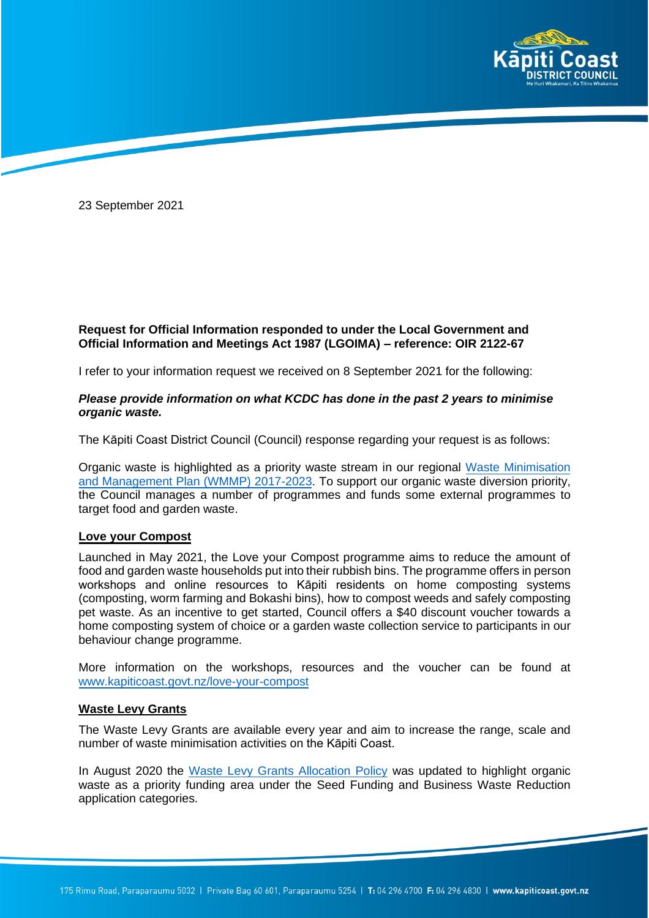

23 September 2021

# **Request for Official Information responded to under the Local Government and Official Information and Meetings Act 1987 (LGOIMA) – reference: OIR 2122-67**

I refer to your information request we received on 8 September 2021 for the following:

## *Please provide information on what KCDC has done in the past 2 years to minimise organic waste.*

The Kāpiti Coast District Council (Council) response regarding your request is as follows:

Organic waste is highlighted as a priority waste stream in our regional Waste [Minimisation](https://www.kapiticoast.govt.nz/your-council/forms-documents/reports/wellington-region-reports/waste-management-and-minimisation-plan/)  [and Management Plan \(WMMP\) 2017-2023.](https://www.kapiticoast.govt.nz/your-council/forms-documents/reports/wellington-region-reports/waste-management-and-minimisation-plan/) To support our organic waste diversion priority, the Council manages a number of programmes and funds some external programmes to target food and garden waste.

### **Love your Compost**

Launched in May 2021, the Love your Compost programme aims to reduce the amount of food and garden waste households put into their rubbish bins. The programme offers in person workshops and online resources to Kāpiti residents on home composting systems (composting, worm farming and Bokashi bins), how to compost weeds and safely composting pet waste. As an incentive to get started, Council offers a \$40 discount voucher towards a home composting system of choice or a garden waste collection service to participants in our behaviour change programme.

More information on the workshops, resources and the voucher can be found at [www.kapiticoast.govt.nz/love-your-compost](http://www.kapiticoast.govt.nz/love-your-compost)

## **Waste Levy Grants**

The Waste Levy Grants are available every year and aim to increase the range, scale and number of waste minimisation activities on the Kāpiti Coast.

In August 2020 the [Waste Levy Grants Allocation Policy](http://www.kapiticoast.govt.nz/media/37973/waste-levy-grants-allocation-policy-2020.pdf) was updated to highlight organic waste as a priority funding area under the Seed Funding and Business Waste Reduction application categories.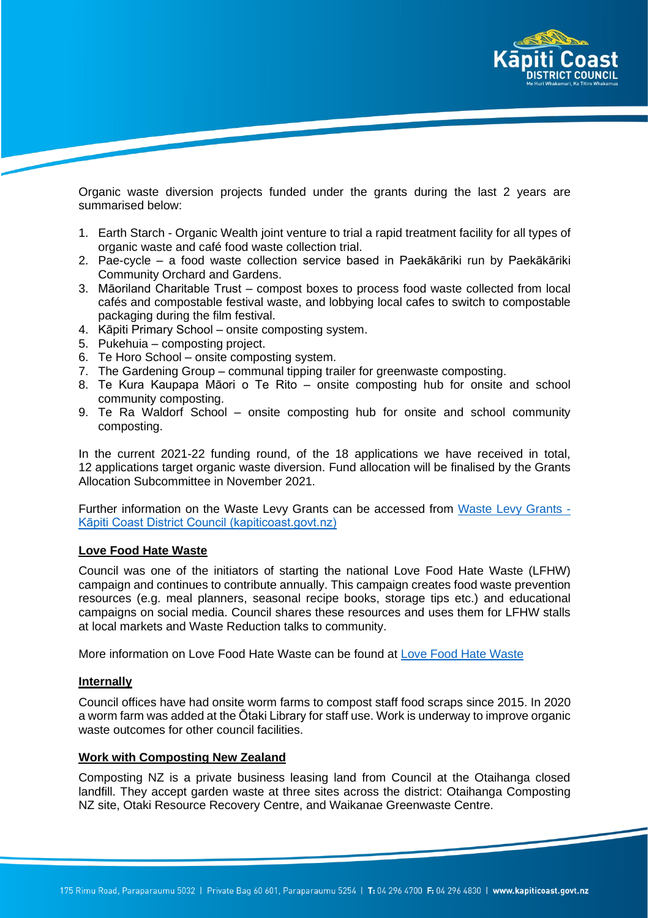

Organic waste diversion projects funded under the grants during the last 2 years are summarised below:

- 1. Earth Starch Organic Wealth joint venture to trial a rapid treatment facility for all types of organic waste and café food waste collection trial.
- 2. Pae-cycle a food waste collection service based in Paekākāriki run by Paekākāriki Community Orchard and Gardens.
- 3. Māoriland Charitable Trust compost boxes to process food waste collected from local cafés and compostable festival waste, and lobbying local cafes to switch to compostable packaging during the film festival.
- 4. Kāpiti Primary School onsite composting system.
- 5. Pukehuia composting project.
- 6. Te Horo School onsite composting system.
- 7. The Gardening Group communal tipping trailer for greenwaste composting.
- 8. Te Kura Kaupapa Māori o Te Rito onsite composting hub for onsite and school community composting.
- 9. Te Ra Waldorf School onsite composting hub for onsite and school community composting.

In the current 2021-22 funding round, of the 18 applications we have received in total, 12 applications target organic waste diversion. Fund allocation will be finalised by the Grants Allocation Subcommittee in November 2021.

Further information on the Waste Levy Grants can be accessed from [Waste Levy Grants -](https://www.kapiticoast.govt.nz/services/a-z-council-services-and-facilities/grants-funding-and-awards/waste-reduction-grants/#paekkrikiplaycentrecommunityprojects) [Kāpiti Coast District Council \(kapiticoast.govt.nz\)](https://www.kapiticoast.govt.nz/services/a-z-council-services-and-facilities/grants-funding-and-awards/waste-reduction-grants/#paekkrikiplaycentrecommunityprojects)

#### **Love Food Hate Waste**

Council was one of the initiators of starting the national Love Food Hate Waste (LFHW) campaign and continues to contribute annually. This campaign creates food waste prevention resources (e.g. meal planners, seasonal recipe books, storage tips etc.) and educational campaigns on social media. Council shares these resources and uses them for LFHW stalls at local markets and Waste Reduction talks to community.

More information on Love Food Hate Waste can be found at [Love Food Hate Waste](https://lovefoodhatewaste.co.nz/)

#### **Internally**

Council offices have had onsite worm farms to compost staff food scraps since 2015. In 2020 a worm farm was added at the Ōtaki Library for staff use. Work is underway to improve organic waste outcomes for other council facilities.

#### **Work with Composting New Zealand**

Composting NZ is a private business leasing land from Council at the Otaihanga closed landfill. They accept garden waste at three sites across the district: Otaihanga Composting NZ site, Otaki Resource Recovery Centre, and Waikanae Greenwaste Centre.